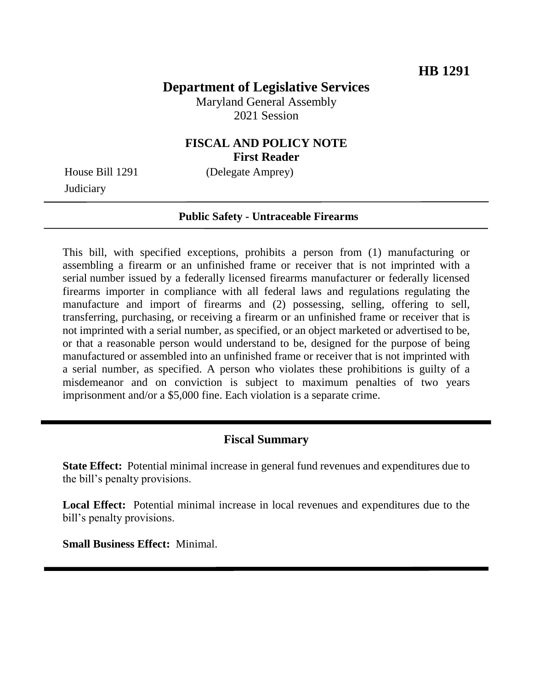# **Department of Legislative Services**

Maryland General Assembly 2021 Session

# **FISCAL AND POLICY NOTE First Reader**

**Judiciary** 

House Bill 1291 (Delegate Amprey)

#### **Public Safety - Untraceable Firearms**

This bill, with specified exceptions, prohibits a person from (1) manufacturing or assembling a firearm or an unfinished frame or receiver that is not imprinted with a serial number issued by a federally licensed firearms manufacturer or federally licensed firearms importer in compliance with all federal laws and regulations regulating the manufacture and import of firearms and (2) possessing, selling, offering to sell, transferring, purchasing, or receiving a firearm or an unfinished frame or receiver that is not imprinted with a serial number, as specified, or an object marketed or advertised to be, or that a reasonable person would understand to be, designed for the purpose of being manufactured or assembled into an unfinished frame or receiver that is not imprinted with a serial number, as specified. A person who violates these prohibitions is guilty of a misdemeanor and on conviction is subject to maximum penalties of two years imprisonment and/or a \$5,000 fine. Each violation is a separate crime.

### **Fiscal Summary**

**State Effect:** Potential minimal increase in general fund revenues and expenditures due to the bill's penalty provisions.

**Local Effect:** Potential minimal increase in local revenues and expenditures due to the bill's penalty provisions.

**Small Business Effect:** Minimal.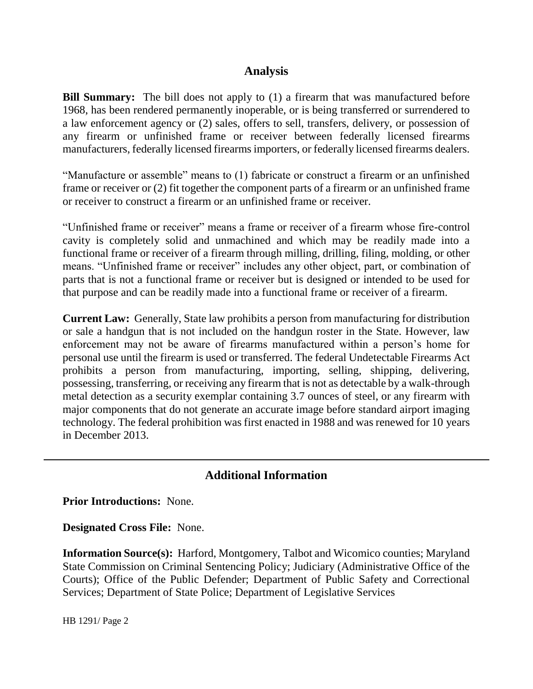## **Analysis**

**Bill Summary:** The bill does not apply to (1) a firearm that was manufactured before 1968, has been rendered permanently inoperable, or is being transferred or surrendered to a law enforcement agency or (2) sales, offers to sell, transfers, delivery, or possession of any firearm or unfinished frame or receiver between federally licensed firearms manufacturers, federally licensed firearms importers, or federally licensed firearms dealers.

"Manufacture or assemble" means to (1) fabricate or construct a firearm or an unfinished frame or receiver or (2) fit together the component parts of a firearm or an unfinished frame or receiver to construct a firearm or an unfinished frame or receiver.

"Unfinished frame or receiver" means a frame or receiver of a firearm whose fire-control cavity is completely solid and unmachined and which may be readily made into a functional frame or receiver of a firearm through milling, drilling, filing, molding, or other means. "Unfinished frame or receiver" includes any other object, part, or combination of parts that is not a functional frame or receiver but is designed or intended to be used for that purpose and can be readily made into a functional frame or receiver of a firearm.

**Current Law:** Generally, State law prohibits a person from manufacturing for distribution or sale a handgun that is not included on the handgun roster in the State. However, law enforcement may not be aware of firearms manufactured within a person's home for personal use until the firearm is used or transferred. The federal Undetectable Firearms Act prohibits a person from manufacturing, importing, selling, shipping, delivering, possessing, transferring, or receiving any firearm that is not as detectable by a walk-through metal detection as a security exemplar containing 3.7 ounces of steel, or any firearm with major components that do not generate an accurate image before standard airport imaging technology. The federal prohibition was first enacted in 1988 and was renewed for 10 years in December 2013.

# **Additional Information**

**Prior Introductions:** None.

**Designated Cross File:** None.

**Information Source(s):** Harford, Montgomery, Talbot and Wicomico counties; Maryland State Commission on Criminal Sentencing Policy; Judiciary (Administrative Office of the Courts); Office of the Public Defender; Department of Public Safety and Correctional Services; Department of State Police; Department of Legislative Services

HB 1291/ Page 2